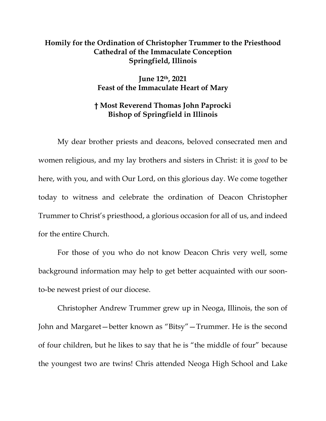## **Homily for the Ordination of Christopher Trummer to the Priesthood Cathedral of the Immaculate Conception Springfield, Illinois**

**June 12th, 2021 Feast of the Immaculate Heart of Mary** 

## **† Most Reverend Thomas John Paprocki Bishop of Springfield in Illinois**

 My dear brother priests and deacons, beloved consecrated men and women religious, and my lay brothers and sisters in Christ: it is *good* to be here, with you, and with Our Lord, on this glorious day. We come together today to witness and celebrate the ordination of Deacon Christopher Trummer to Christ's priesthood, a glorious occasion for all of us, and indeed for the entire Church.

 For those of you who do not know Deacon Chris very well, some background information may help to get better acquainted with our soonto-be newest priest of our diocese.

 Christopher Andrew Trummer grew up in Neoga, Illinois, the son of John and Margaret—better known as "Bitsy"—Trummer. He is the second of four children, but he likes to say that he is "the middle of four" because the youngest two are twins! Chris attended Neoga High School and Lake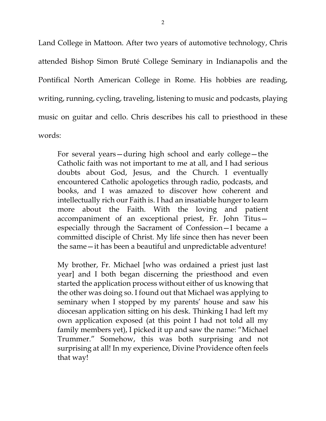Land College in Mattoon. After two years of automotive technology, Chris attended Bishop Simon Bruté College Seminary in Indianapolis and the Pontifical North American College in Rome. His hobbies are reading, writing, running, cycling, traveling, listening to music and podcasts, playing music on guitar and cello. Chris describes his call to priesthood in these words:

For several years—during high school and early college—the Catholic faith was not important to me at all, and I had serious doubts about God, Jesus, and the Church. I eventually encountered Catholic apologetics through radio, podcasts, and books, and I was amazed to discover how coherent and intellectually rich our Faith is. I had an insatiable hunger to learn more about the Faith. With the loving and patient accompaniment of an exceptional priest, Fr. John Titus especially through the Sacrament of Confession—I became a committed disciple of Christ. My life since then has never been the same—it has been a beautiful and unpredictable adventure!

My brother, Fr. Michael [who was ordained a priest just last year] and I both began discerning the priesthood and even started the application process without either of us knowing that the other was doing so. I found out that Michael was applying to seminary when I stopped by my parents' house and saw his diocesan application sitting on his desk. Thinking I had left my own application exposed (at this point I had not told all my family members yet), I picked it up and saw the name: "Michael Trummer." Somehow, this was both surprising and not surprising at all! In my experience, Divine Providence often feels that way!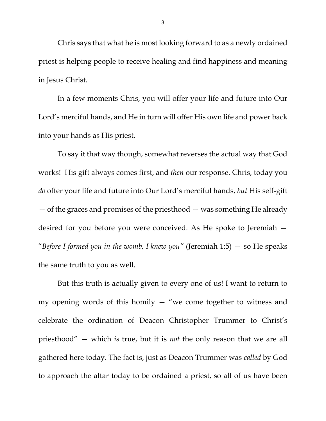Chris says that what he is most looking forward to as a newly ordained priest is helping people to receive healing and find happiness and meaning in Jesus Christ.

 In a few moments Chris, you will offer your life and future into Our Lord's merciful hands, and He in turn will offer His own life and power back into your hands as His priest.

 To say it that way though, somewhat reverses the actual way that God works! His gift always comes first, and *then* our response. Chris, today you *do* offer your life and future into Our Lord's merciful hands, *but* His self-gift — of the graces and promises of the priesthood — was something He already desired for you before you were conceived. As He spoke to Jeremiah — "*Before I formed you in the womb, I knew you"* (Jeremiah 1:5) — so He speaks the same truth to you as well.

But this truth is actually given to every one of us! I want to return to my opening words of this homily — "we come together to witness and celebrate the ordination of Deacon Christopher Trummer to Christ's priesthood" — which *is* true, but it is *not* the only reason that we are all gathered here today. The fact is, just as Deacon Trummer was *called* by God to approach the altar today to be ordained a priest, so all of us have been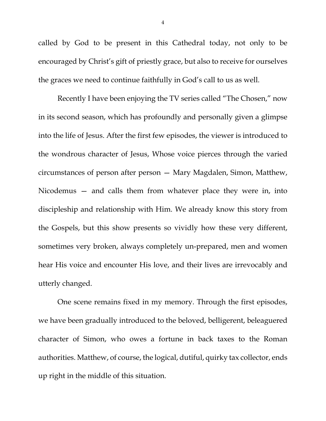called by God to be present in this Cathedral today, not only to be encouraged by Christ's gift of priestly grace, but also to receive for ourselves the graces we need to continue faithfully in God's call to us as well.

Recently I have been enjoying the TV series called "The Chosen," now in its second season, which has profoundly and personally given a glimpse into the life of Jesus. After the first few episodes, the viewer is introduced to the wondrous character of Jesus, Whose voice pierces through the varied circumstances of person after person — Mary Magdalen, Simon, Matthew, Nicodemus — and calls them from whatever place they were in, into discipleship and relationship with Him. We already know this story from the Gospels, but this show presents so vividly how these very different, sometimes very broken, always completely un-prepared, men and women hear His voice and encounter His love, and their lives are irrevocably and utterly changed.

One scene remains fixed in my memory. Through the first episodes, we have been gradually introduced to the beloved, belligerent, beleaguered character of Simon, who owes a fortune in back taxes to the Roman authorities. Matthew, of course, the logical, dutiful, quirky tax collector, ends up right in the middle of this situation.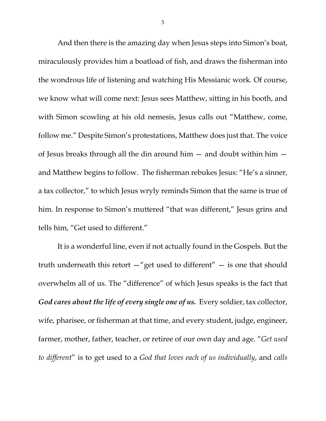And then there is the amazing day when Jesus steps into Simon's boat, miraculously provides him a boatload of fish, and draws the fisherman into the wondrous life of listening and watching His Messianic work. Of course, we know what will come next: Jesus sees Matthew, sitting in his booth, and with Simon scowling at his old nemesis, Jesus calls out "Matthew, come, follow me." Despite Simon's protestations, Matthew does just that. The voice of Jesus breaks through all the din around him — and doubt within him and Matthew begins to follow. The fisherman rebukes Jesus: "He's a sinner, a tax collector," to which Jesus wryly reminds Simon that the same is true of him. In response to Simon's muttered "that was different," Jesus grins and tells him, "Get used to different."

It is a wonderful line, even if not actually found in the Gospels. But the truth underneath this retort  $-$ "get used to different"  $-$  is one that should overwhelm all of us. The "difference" of which Jesus speaks is the fact that *God cares about the life of every single one of us.* Every soldier, tax collector, wife, pharisee, or fisherman at that time, and every student, judge, engineer, farmer, mother, father, teacher, or retiree of our own day and age. "*Get used to different*" is to get used to a *God that loves each of us individually*, and *calls*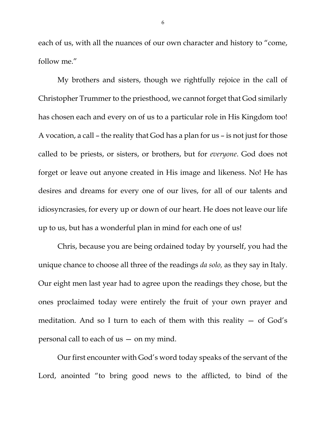each of us, with all the nuances of our own character and history to "come, follow me."

My brothers and sisters, though we rightfully rejoice in the call of Christopher Trummer to the priesthood, we cannot forget that God similarly has chosen each and every on of us to a particular role in His Kingdom too! A vocation, a call – the reality that God has a plan for us – is not just for those called to be priests, or sisters, or brothers, but for *everyone*. God does not forget or leave out anyone created in His image and likeness. No! He has desires and dreams for every one of our lives, for all of our talents and idiosyncrasies, for every up or down of our heart. He does not leave our life up to us, but has a wonderful plan in mind for each one of us!

 Chris, because you are being ordained today by yourself, you had the unique chance to choose all three of the readings *da solo,* as they say in Italy. Our eight men last year had to agree upon the readings they chose, but the ones proclaimed today were entirely the fruit of your own prayer and meditation. And so I turn to each of them with this reality — of God's personal call to each of us — on my mind.

Our first encounter with God's word today speaks of the servant of the Lord, anointed "to bring good news to the afflicted, to bind of the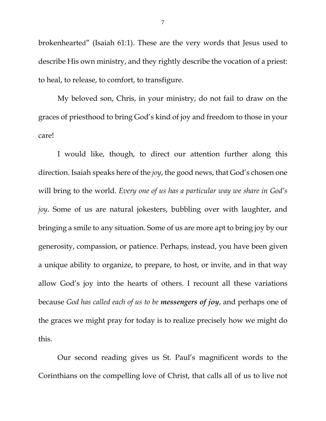brokenhearted" (Isaiah 61:1). These are the very words that Jesus used to describe His own ministry, and they rightly describe the vocation of a priest: to heal, to release, to comfort, to transfigure.

My beloved son, Chris, in your ministry, do not fail to draw on the graces of priesthood to bring God's kind of joy and freedom to those in your care!

I would like, though, to direct our attention further along this direction. Isaiah speaks here of the *joy*, the good news, that God's chosen one will bring to the world. *Every one of us has a particular way we share in God's joy*. Some of us are natural jokesters, bubbling over with laughter, and bringing a smile to any situation. Some of us are more apt to bring joy by our generosity, compassion, or patience. Perhaps, instead, you have been given a unique ability to organize, to prepare, to host, or invite, and in that way allow God's joy into the hearts of others. I recount all these variations because *God has called each of us to be messengers of joy*, and perhaps one of the graces we might pray for today is to realize precisely how we might do this.

 Our second reading gives us St. Paul's magnificent words to the Corinthians on the compelling love of Christ, that calls all of us to live not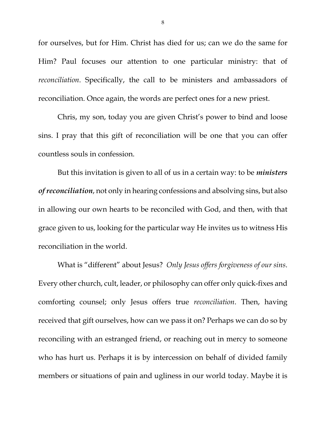for ourselves, but for Him. Christ has died for us; can we do the same for Him? Paul focuses our attention to one particular ministry: that of *reconciliation*. Specifically, the call to be ministers and ambassadors of reconciliation. Once again, the words are perfect ones for a new priest.

Chris, my son, today you are given Christ's power to bind and loose sins. I pray that this gift of reconciliation will be one that you can offer countless souls in confession.

But this invitation is given to all of us in a certain way: to be *ministers of reconciliation*, not only in hearing confessions and absolving sins, but also in allowing our own hearts to be reconciled with God, and then, with that grace given to us, looking for the particular way He invites us to witness His reconciliation in the world.

What is "different" about Jesus? *Only Jesus offers forgiveness of our sins*. Every other church, cult, leader, or philosophy can offer only quick-fixes and comforting counsel; only Jesus offers true *reconciliation*. Then, having received that gift ourselves, how can we pass it on? Perhaps we can do so by reconciling with an estranged friend, or reaching out in mercy to someone who has hurt us. Perhaps it is by intercession on behalf of divided family members or situations of pain and ugliness in our world today. Maybe it is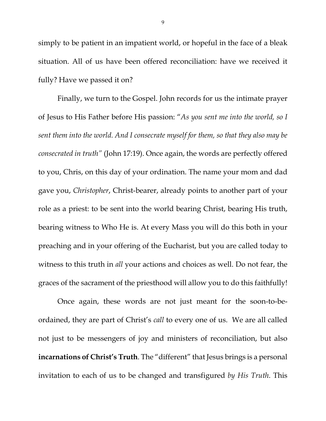simply to be patient in an impatient world, or hopeful in the face of a bleak situation. All of us have been offered reconciliation: have we received it fully? Have we passed it on?

Finally, we turn to the Gospel. John records for us the intimate prayer of Jesus to His Father before His passion: "*As you sent me into the world, so I sent them into the world. And I consecrate myself for them, so that they also may be consecrated in truth"* (John 17:19). Once again, the words are perfectly offered to you, Chris, on this day of your ordination. The name your mom and dad gave you, *Christopher*, Christ-bearer, already points to another part of your role as a priest: to be sent into the world bearing Christ, bearing His truth, bearing witness to Who He is. At every Mass you will do this both in your preaching and in your offering of the Eucharist, but you are called today to witness to this truth in *all* your actions and choices as well. Do not fear, the graces of the sacrament of the priesthood will allow you to do this faithfully!

Once again, these words are not just meant for the soon-to-beordained, they are part of Christ's *call* to every one of us. We are all called not just to be messengers of joy and ministers of reconciliation, but also **incarnations of Christ's Truth**. The "different" that Jesus brings is a personal invitation to each of us to be changed and transfigured *by His Truth*. This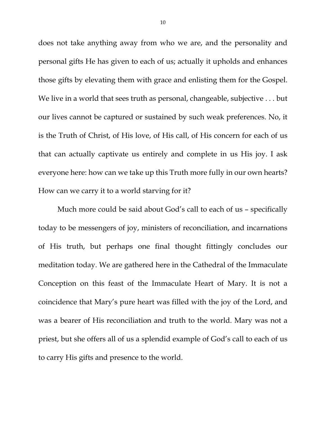does not take anything away from who we are, and the personality and personal gifts He has given to each of us; actually it upholds and enhances those gifts by elevating them with grace and enlisting them for the Gospel. We live in a world that sees truth as personal, changeable, subjective . . . but our lives cannot be captured or sustained by such weak preferences. No, it is the Truth of Christ, of His love, of His call, of His concern for each of us that can actually captivate us entirely and complete in us His joy. I ask everyone here: how can we take up this Truth more fully in our own hearts? How can we carry it to a world starving for it?

Much more could be said about God's call to each of us – specifically today to be messengers of joy, ministers of reconciliation, and incarnations of His truth, but perhaps one final thought fittingly concludes our meditation today. We are gathered here in the Cathedral of the Immaculate Conception on this feast of the Immaculate Heart of Mary. It is not a coincidence that Mary's pure heart was filled with the joy of the Lord, and was a bearer of His reconciliation and truth to the world. Mary was not a priest, but she offers all of us a splendid example of God's call to each of us to carry His gifts and presence to the world.